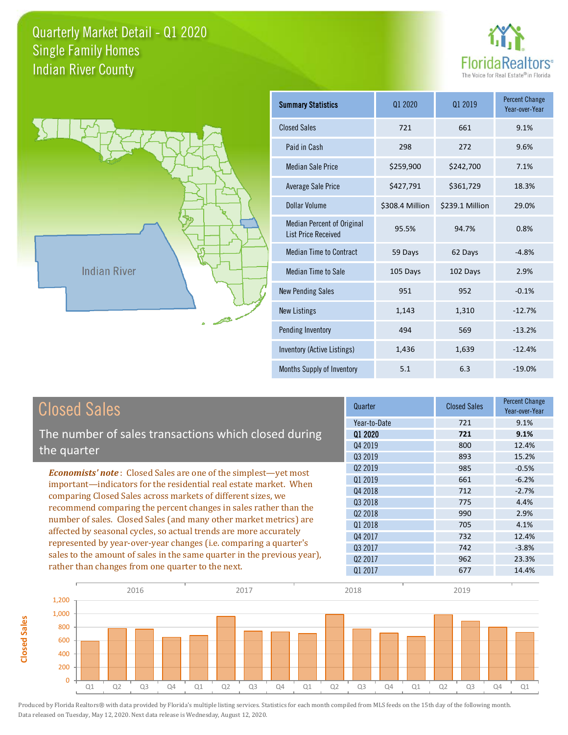



**Closed Sales**

**Closed Sales** 

| <b>Summary Statistics</b>                                       | 01 2020         | 01 2019         | <b>Percent Change</b><br>Year-over-Year |
|-----------------------------------------------------------------|-----------------|-----------------|-----------------------------------------|
| <b>Closed Sales</b>                                             | 721             | 661             | 9.1%                                    |
| Paid in Cash                                                    | 298             | 272             | 9.6%                                    |
| Median Sale Price                                               | \$259,900       | \$242,700       | 7.1%                                    |
| <b>Average Sale Price</b>                                       | \$427,791       | \$361,729       | 18.3%                                   |
| Dollar Volume                                                   | \$308.4 Million | \$239.1 Million | 29.0%                                   |
| <b>Median Percent of Original</b><br><b>List Price Received</b> | 95.5%           | 94.7%           | 0.8%                                    |
| <b>Median Time to Contract</b>                                  | 59 Days         | 62 Days         | $-4.8%$                                 |
| Median Time to Sale                                             | 105 Days        | 102 Days        | 2.9%                                    |
| <b>New Pending Sales</b>                                        | 951             | 952             | $-0.1%$                                 |
| <b>New Listings</b>                                             | 1,143           | 1,310           | $-12.7%$                                |
| Pending Inventory                                               | 494             | 569             | $-13.2%$                                |
| Inventory (Active Listings)                                     | 1,436           | 1,639           | $-12.4%$                                |
| Months Supply of Inventory                                      | 5.1             | 6.3             | $-19.0%$                                |

| <b>Closed Sales</b>                                                                                                              | Quarter      | <b>Closed Sales</b> | Percent Change<br>Year-over-Year |
|----------------------------------------------------------------------------------------------------------------------------------|--------------|---------------------|----------------------------------|
|                                                                                                                                  | Year-to-Date | 721                 | 9.1%                             |
| The number of sales transactions which closed during                                                                             | 01 2020      | 721                 | 9.1%                             |
| the quarter                                                                                                                      | Q4 2019      | 800                 | 12.4%                            |
|                                                                                                                                  | 03 2019      | 893                 | 15.2%                            |
| <b>Economists' note:</b> Closed Sales are one of the simplest—yet most                                                           | 02 2019      | 985                 | $-0.5%$                          |
| important—indicators for the residential real estate market. When                                                                | Q1 2019      | 661                 | $-6.2%$                          |
| comparing Closed Sales across markets of different sizes, we<br>recommend comparing the percent changes in sales rather than the | Q4 2018      | 712                 | $-2.7%$                          |
|                                                                                                                                  | 03 2018      | 775                 | 4.4%                             |
| number of sales. Closed Sales (and many other market metrics) are                                                                | 02 2018      | 990                 | 2.9%                             |
|                                                                                                                                  | Q1 2018      | 705                 | 4.1%                             |
| affected by seasonal cycles, so actual trends are more accurately                                                                | Q4 2017      | 732                 | 12.4%                            |
| represented by year-over-year changes (i.e. comparing a quarter's                                                                | 03 2017      | 742                 | $-3.8%$                          |
| sales to the amount of sales in the same quarter in the previous year),                                                          | 02 2017      | 962                 | 23.3%                            |
| rather than changes from one quarter to the next.                                                                                | Q1 2017      | 677                 | 14.4%                            |

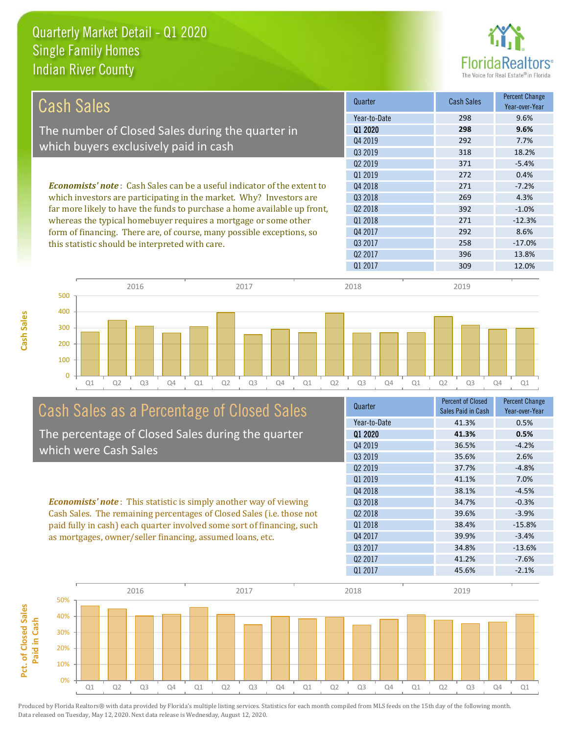

| <b>Cash Sales</b>                                                              | Quarter             | <b>Cash Sales</b> | <b>Percent Change</b><br>Year-over-Year |
|--------------------------------------------------------------------------------|---------------------|-------------------|-----------------------------------------|
|                                                                                | Year-to-Date        | 298               | 9.6%                                    |
| The number of Closed Sales during the quarter in                               | Q1 2020             | 298               | 9.6%                                    |
|                                                                                | Q4 2019             | 292               | 7.7%                                    |
| which buyers exclusively paid in cash                                          | 03 2019             | 318               | 18.2%                                   |
|                                                                                | Q <sub>2</sub> 2019 | 371               | $-5.4%$                                 |
|                                                                                | 01 2019             | 272               | 0.4%                                    |
| <b>Economists' note:</b> Cash Sales can be a useful indicator of the extent to | 04 2018             | 271               | $-7.2%$                                 |
| which investors are participating in the market. Why? Investors are            | Q3 2018             | 269               | 4.3%                                    |
| far more likely to have the funds to purchase a home available up front,       | Q <sub>2</sub> 2018 | 392               | $-1.0%$                                 |
| whereas the typical homebuyer requires a mortgage or some other                | 01 2018             | 271               | $-12.3%$                                |
| form of financing. There are, of course, many possible exceptions, so          | Q4 2017             | 292               | 8.6%                                    |
| this statistic should be interpreted with care.                                | Q3 2017             | 258               | $-17.0%$                                |
|                                                                                | 02 2017             | 396               | 13.8%                                   |
|                                                                                | Q1 2017             | 309               | 12.0%                                   |
|                                                                                |                     |                   |                                         |



## Cash Sales as a Percentage of Closed Sales

The percentage of Closed Sales during the quarter which were Cash Sales

*Economists' note* : This statistic is simply another way of viewing Cash Sales. The remaining percentages of Closed Sales (i.e. those not paid fully in cash) each quarter involved some sort of financing, such as mortgages, owner/seller financing, assumed loans, etc.

|       | Year-over-Year              |
|-------|-----------------------------|
|       | 0.5%                        |
| 41.3% | 0.5%                        |
| 36.5% | $-4.2%$                     |
| 35.6% | 2.6%                        |
| 37.7% | $-4.8%$                     |
| 41.1% | 7.0%                        |
| 38.1% | $-4.5%$                     |
| 34.7% | $-0.3%$                     |
| 39.6% | $-3.9%$                     |
| 38.4% | $-15.8%$                    |
| 39.9% | $-3.4%$                     |
| 34.8% | $-13.6%$                    |
| 41.2% | $-7.6%$                     |
| 45.6% | $-2.1%$                     |
|       | Sales Paid in Cash<br>41.3% |

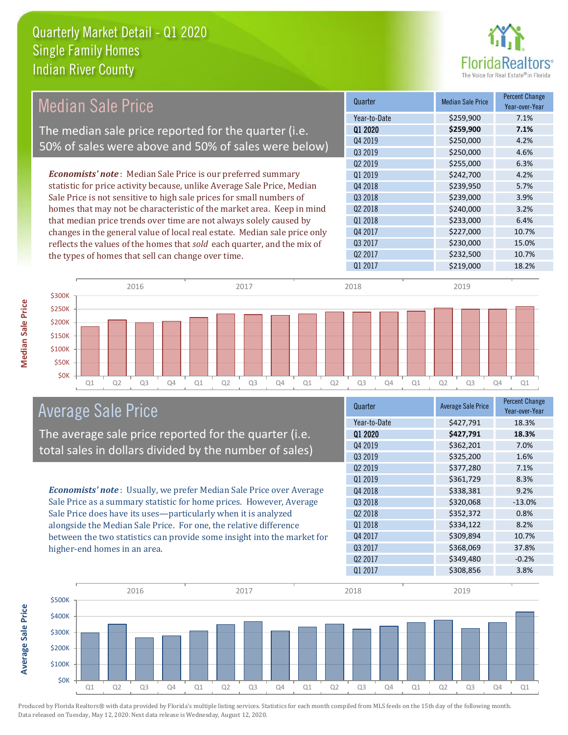

| <b>Median Sale Price</b>                                                  | Quarter             | <b>Median Sale Price</b> | <b>Percent Change</b><br>Year-over-Year |
|---------------------------------------------------------------------------|---------------------|--------------------------|-----------------------------------------|
|                                                                           | Year-to-Date        | \$259,900                | 7.1%                                    |
| The median sale price reported for the quarter (i.e.                      | 01 2020             | \$259,900                | 7.1%                                    |
| 50% of sales were above and 50% of sales were below)                      | Q4 2019             | \$250,000                | 4.2%                                    |
|                                                                           | Q3 2019             | \$250,000                | 4.6%                                    |
|                                                                           | Q <sub>2</sub> 2019 | \$255,000                | 6.3%                                    |
| <b>Economists' note</b> : Median Sale Price is our preferred summary      | Q1 2019             | \$242,700                | 4.2%                                    |
| statistic for price activity because, unlike Average Sale Price, Median   | Q4 2018             | \$239,950                | 5.7%                                    |
| Sale Price is not sensitive to high sale prices for small numbers of      | Q3 2018             | \$239,000                | 3.9%                                    |
| homes that may not be characteristic of the market area. Keep in mind     | Q <sub>2</sub> 2018 | \$240,000                | 3.2%                                    |
| that median price trends over time are not always solely caused by        | Q1 2018             | \$233,000                | 6.4%                                    |
| changes in the general value of local real estate. Median sale price only | Q4 2017             | \$227,000                | 10.7%                                   |
| reflects the values of the homes that sold each quarter, and the mix of   | Q3 2017             | \$230,000                | 15.0%                                   |
| the types of homes that sell can change over time.                        | Q <sub>2</sub> 2017 | \$232,500                | 10.7%                                   |
|                                                                           | Q1 2017             | \$219,000                | 18.2%                                   |
| 2016<br>2017                                                              | 2018                | 2019                     |                                         |
| \$300K                                                                    |                     |                          |                                         |
| \$250K                                                                    |                     |                          |                                         |



## Average Sale Price

The average sale price reported for the quarter (i.e. total sales in dollars divided by the number of sales)

*Economists' note* : Usually, we prefer Median Sale Price over Average Sale Price as a summary statistic for home prices. However, Average Sale Price does have its uses—particularly when it is analyzed alongside the Median Sale Price. For one, the relative difference between the two statistics can provide some insight into the market for higher-end homes in an area.

| Quarter             | <b>Average Sale Price</b> | <b>Percent Change</b><br>Year-over-Year |
|---------------------|---------------------------|-----------------------------------------|
| Year-to-Date        | \$427,791                 | 18.3%                                   |
| 01 2020             | \$427,791                 | 18.3%                                   |
| Q4 2019             | \$362,201                 | 7.0%                                    |
| Q3 2019             | \$325,200                 | 1.6%                                    |
| 02 2019             | \$377,280                 | 7.1%                                    |
| 01 2019             | \$361,729                 | 8.3%                                    |
| Q4 2018             | \$338,381                 | 9.2%                                    |
| 03 2018             | \$320,068                 | $-13.0%$                                |
| Q <sub>2</sub> 2018 | \$352,372                 | 0.8%                                    |
| Q1 2018             | \$334,122                 | 8.2%                                    |
| Q4 2017             | \$309,894                 | 10.7%                                   |
| Q3 2017             | \$368,069                 | 37.8%                                   |
| Q <sub>2</sub> 2017 | \$349,480                 | $-0.2%$                                 |
| Q1 2017             | \$308,856                 | 3.8%                                    |



\$200K

**Median Sale Price**

Median Sale Price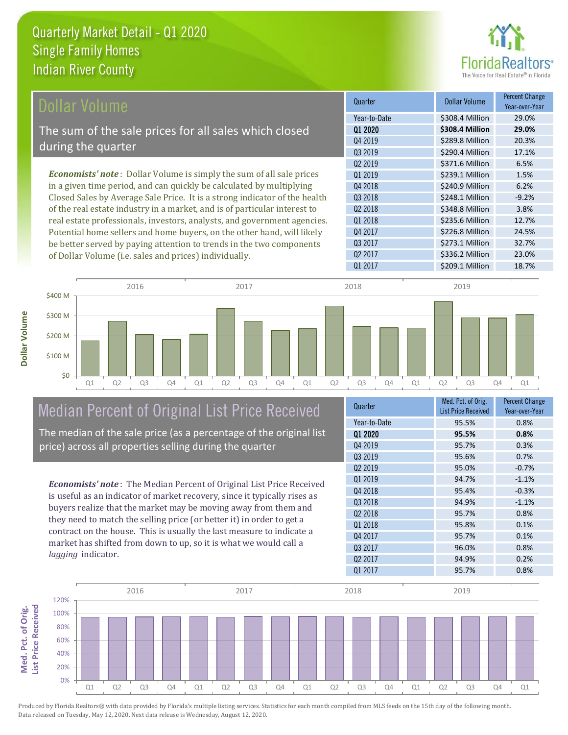

| Dollar Volume                                                                | Quarter             | <b>Dollar Volume</b> | <b>Percent Change</b><br>Year-over-Year |
|------------------------------------------------------------------------------|---------------------|----------------------|-----------------------------------------|
|                                                                              | Year-to-Date        | \$308.4 Million      | 29.0%                                   |
| The sum of the sale prices for all sales which closed                        | 01 2020             | \$308.4 Million      | 29.0%                                   |
| during the quarter                                                           | Q4 2019             | \$289.8 Million      | 20.3%                                   |
|                                                                              | Q3 2019             | \$290.4 Million      | 17.1%                                   |
|                                                                              | 02 2019             | \$371.6 Million      | 6.5%                                    |
| <b>Economists' note</b> : Dollar Volume is simply the sum of all sale prices | 01 2019             | \$239.1 Million      | 1.5%                                    |
| in a given time period, and can quickly be calculated by multiplying         | Q4 2018             | \$240.9 Million      | 6.2%                                    |
| Closed Sales by Average Sale Price. It is a strong indicator of the health   | Q3 2018             | \$248.1 Million      | $-9.2%$                                 |
| of the real estate industry in a market, and is of particular interest to    | Q <sub>2</sub> 2018 | \$348.8 Million      | 3.8%                                    |
| real estate professionals, investors, analysts, and government agencies.     | 01 2018             | \$235.6 Million      | 12.7%                                   |
| Potential home sellers and home buyers, on the other hand, will likely       | Q4 2017             | \$226.8 Million      | 24.5%                                   |
| be better served by paying attention to trends in the two components         | 03 2017             | \$273.1 Million      | 32.7%                                   |

of Dollar Volume (i.e. sales and prices) individually.



## Median Percent of Original List Price Received

The median of the sale price (as a percentage of the original list price) across all properties selling during the quarter

*Economists' note* : The Median Percent of Original List Price Received is useful as an indicator of market recovery, since it typically rises as buyers realize that the market may be moving away from them and they need to match the selling price (or better it) in order to get a contract on the house. This is usually the last measure to indicate a market has shifted from down to up, so it is what we would call a *lagging* indicator.

| Quarter             | Med. Pct. of Orig.<br><b>List Price Received</b> | <b>Percent Change</b><br>Year-over-Year |
|---------------------|--------------------------------------------------|-----------------------------------------|
| Year-to-Date        | 95.5%                                            | 0.8%                                    |
| 01 2020             | 95.5%                                            | 0.8%                                    |
| Q4 2019             | 95.7%                                            | 0.3%                                    |
| Q3 2019             | 95.6%                                            | 0.7%                                    |
| Q <sub>2</sub> 2019 | 95.0%                                            | $-0.7%$                                 |
| 01 2019             | 94.7%                                            | $-1.1%$                                 |
| Q4 2018             | 95.4%                                            | $-0.3%$                                 |
| Q3 2018             | 94.9%                                            | $-1.1%$                                 |
| Q <sub>2</sub> 2018 | 95.7%                                            | 0.8%                                    |
| Q1 2018             | 95.8%                                            | 0.1%                                    |
| Q4 2017             | 95.7%                                            | 0.1%                                    |
| Q3 2017             | 96.0%                                            | 0.8%                                    |
| Q <sub>2</sub> 2017 | 94.9%                                            | 0.2%                                    |
| Q1 2017             | 95.7%                                            | 0.8%                                    |
|                     |                                                  |                                         |

Q2 2017 \$336.2 Million 23.0%

Q1 2017 \$209.1 Million 18.7%

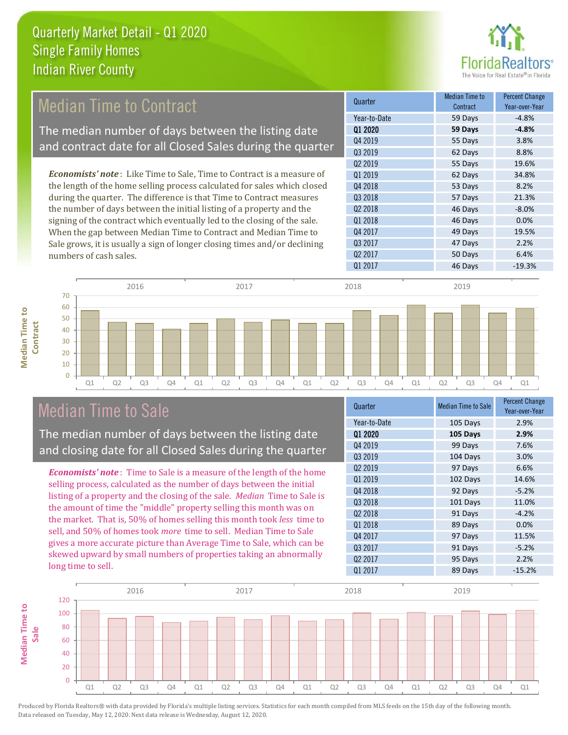

## Median Time to Contract

The median number of days between the listing date and contract date for all Closed Sales during the quarter

*Economists' note* : Like Time to Sale, Time to Contract is a measure of the length of the home selling process calculated for sales which closed during the quarter. The difference is that Time to Contract measures the number of days between the initial listing of a property and the signing of the contract which eventually led to the closing of the sale. When the gap between Median Time to Contract and Median Time to Sale grows, it is usually a sign of longer closing times and/or declining numbers of cash sales.

| Median Time to<br>Contract | <b>Percent Change</b><br>Year-over-Year |
|----------------------------|-----------------------------------------|
| 59 Days                    | $-4.8%$                                 |
| 59 Days                    | $-4.8%$                                 |
| 55 Days                    | 3.8%                                    |
| 62 Days                    | 8.8%                                    |
| 55 Days                    | 19.6%                                   |
| 62 Days                    | 34.8%                                   |
| 53 Days                    | 8.2%                                    |
| 57 Days                    | 21.3%                                   |
| 46 Days                    | $-8.0%$                                 |
| 46 Days                    | 0.0%                                    |
| 49 Days                    | 19.5%                                   |
| 47 Days                    | 2.2%                                    |
| 50 Days                    | 6.4%                                    |
| 46 Days                    | $-19.3%$                                |
|                            |                                         |



## Median Time to Sale

The median number of days between the listing date and closing date for all Closed Sales during the quarter

*Economists' note* : Time to Sale is a measure of the length of the home selling process, calculated as the number of days between the initial listing of a property and the closing of the sale. *Median* Time to Sale is the amount of time the "middle" property selling this month was on the market. That is, 50% of homes selling this month took *less* time to sell, and 50% of homes took *more* time to sell. Median Time to Sale gives a more accurate picture than Average Time to Sale, which can be skewed upward by small numbers of properties taking an abnormally long time to sell.

| Quarter             | <b>Median Time to Sale</b> | <b>Percent Change</b><br>Year-over-Year |
|---------------------|----------------------------|-----------------------------------------|
| Year-to-Date        | 105 Days                   | 2.9%                                    |
| Q1 2020             | 105 Days                   | 2.9%                                    |
| Q4 2019             | 99 Days                    | 7.6%                                    |
| Q3 2019             | 104 Days                   | 3.0%                                    |
| Q <sub>2</sub> 2019 | 97 Days                    | 6.6%                                    |
| Q1 2019             | 102 Days                   | 14.6%                                   |
| Q4 2018             | 92 Days                    | $-5.2%$                                 |
| Q3 2018             | 101 Days                   | 11.0%                                   |
| 02 2018             | 91 Days                    | $-4.2%$                                 |
| Q1 2018             | 89 Days                    | 0.0%                                    |
| Q4 2017             | 97 Days                    | 11.5%                                   |
| Q3 2017             | 91 Days                    | $-5.2%$                                 |
| Q <sub>2</sub> 2017 | 95 Days                    | 2.2%                                    |
| Q1 2017             | 89 Days                    | $-15.2%$                                |

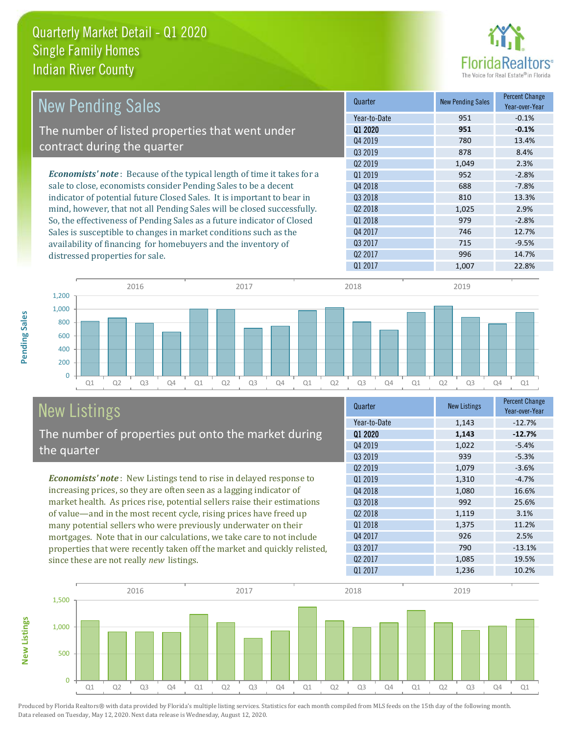

| <b>New Pending Sales</b>                                                      | Quarter             | <b>New Pending Sales</b> | <b>Percent Change</b><br>Year-over-Year |
|-------------------------------------------------------------------------------|---------------------|--------------------------|-----------------------------------------|
|                                                                               | Year-to-Date        | 951                      | $-0.1%$                                 |
| The number of listed properties that went under                               | 01 2020             | 951                      | $-0.1%$                                 |
| contract during the quarter                                                   | Q4 2019             | 780                      | 13.4%                                   |
|                                                                               | 03 2019             | 878                      | 8.4%                                    |
|                                                                               | Q <sub>2</sub> 2019 | 1,049                    | 2.3%                                    |
| <b>Economists' note:</b> Because of the typical length of time it takes for a | 01 2019             | 952                      | $-2.8%$                                 |
| sale to close, economists consider Pending Sales to be a decent               | Q4 2018             | 688                      | $-7.8%$                                 |
| indicator of potential future Closed Sales. It is important to bear in        | Q3 2018             | 810                      | 13.3%                                   |
| mind, however, that not all Pending Sales will be closed successfully.        | Q <sub>2</sub> 2018 | 1,025                    | 2.9%                                    |
| So, the effectiveness of Pending Sales as a future indicator of Closed        | Q1 2018             | 979                      | $-2.8%$                                 |
| Sales is susceptible to changes in market conditions such as the              | Q4 2017             | 746                      | 12.7%                                   |
| availability of financing for homebuyers and the inventory of                 | Q3 2017             | 715                      | $-9.5%$                                 |
| distressed properties for sale.                                               | 02 2017             | 996                      | 14.7%                                   |
|                                                                               | 01 2017             | 1,007                    | 22.8%                                   |



## New Listings

The number of properties put onto the market during the quarter

*Economists' note* : New Listings tend to rise in delayed response to increasing prices, so they are often seen as a lagging indicator of market health. As prices rise, potential sellers raise their estimations of value—and in the most recent cycle, rising prices have freed up many potential sellers who were previously underwater on their mortgages. Note that in our calculations, we take care to not include properties that were recently taken off the market and quickly relisted, since these are not really *new* listings.

| Quarter             | <b>New Listings</b> | <b>Percent Change</b><br>Year-over-Year |
|---------------------|---------------------|-----------------------------------------|
| Year-to-Date        | 1,143               | $-12.7%$                                |
| 01 2020             | 1,143               | $-12.7%$                                |
| Q4 2019             | 1,022               | $-5.4%$                                 |
| Q3 2019             | 939                 | $-5.3%$                                 |
| 02 2019             | 1,079               | $-3.6%$                                 |
| Q1 2019             | 1,310               | $-4.7%$                                 |
| Q4 2018             | 1,080               | 16.6%                                   |
| 03 2018             | 992                 | 25.6%                                   |
| Q <sub>2</sub> 2018 | 1,119               | 3.1%                                    |
| Q1 2018             | 1,375               | 11.2%                                   |
| Q4 2017             | 926                 | 2.5%                                    |
| Q3 2017             | 790                 | $-13.1%$                                |
| Q <sub>2</sub> 2017 | 1,085               | 19.5%                                   |
| Q1 2017             | 1,236               | 10.2%                                   |



Produced by Florida Realtors® with data provided by Florida's multiple listing services. Statistics for each month compiled from MLS feeds on the 15th day of the following month. Data released on Tuesday, May 12, 2020. Next data release is Wednesday, August 12, 2020.

**New Listings**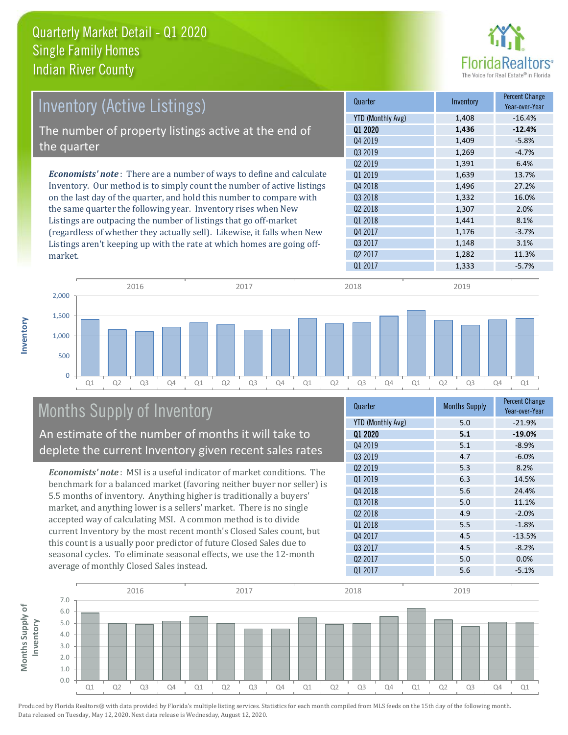

| <b>Inventory (Active Listings)</b>                                           | Quarter             | Inventory | <b>Percent Change</b><br>Year-over-Year |
|------------------------------------------------------------------------------|---------------------|-----------|-----------------------------------------|
|                                                                              | YTD (Monthly Avg)   | 1,408     | $-16.4%$                                |
| The number of property listings active at the end of                         | 01 2020             | 1,436     | $-12.4%$                                |
|                                                                              | Q4 2019             | 1,409     | $-5.8%$                                 |
| the quarter                                                                  | Q3 2019             | 1,269     | $-4.7%$                                 |
|                                                                              | Q <sub>2</sub> 2019 | 1,391     | 6.4%                                    |
| <b>Economists' note</b> : There are a number of ways to define and calculate | Q1 2019             | 1,639     | 13.7%                                   |
| Inventory. Our method is to simply count the number of active listings       | Q4 2018             | 1,496     | 27.2%                                   |
| on the last day of the quarter, and hold this number to compare with         | Q3 2018             | 1,332     | 16.0%                                   |
| the same quarter the following year. Inventory rises when New                | Q <sub>2</sub> 2018 | 1,307     | 2.0%                                    |
| Listings are outpacing the number of listings that go off-market             | 01 2018             | 1,441     | 8.1%                                    |
| (regardless of whether they actually sell). Likewise, it falls when New      | Q4 2017             | 1,176     | $-3.7%$                                 |
| Listings aren't keeping up with the rate at which homes are going off-       | Q3 2017             | 1,148     | 3.1%                                    |
| market.                                                                      | Q <sub>2</sub> 2017 | 1,282     | 11.3%                                   |



## Months Supply of Inventory

**Inventory**

An estimate of the number of months it will take to deplete the current Inventory given recent sales rates

*Economists' note* : MSI is a useful indicator of market conditions. The benchmark for a balanced market (favoring neither buyer nor seller) is 5.5 months of inventory. Anything higher is traditionally a buyers' market, and anything lower is a sellers' market. There is no single accepted way of calculating MSI. A common method is to divide current Inventory by the most recent month's Closed Sales count, but this count is a usually poor predictor of future Closed Sales due to seasonal cycles. To eliminate seasonal effects, we use the 12-month average of monthly Closed Sales instead.

| Quarter                  | <b>Months Supply</b> | <b>Percent Change</b><br>Year-over-Year |
|--------------------------|----------------------|-----------------------------------------|
| <b>YTD (Monthly Avg)</b> | 5.0                  | $-21.9%$                                |
| 01 2020                  | 5.1                  | $-19.0%$                                |
| Q4 2019                  | 5.1                  | $-8.9%$                                 |
| Q3 2019                  | 4.7                  | $-6.0%$                                 |
| 02 2019                  | 5.3                  | 8.2%                                    |
| Q1 2019                  | 6.3                  | 14.5%                                   |
| Q4 2018                  | 5.6                  | 24.4%                                   |
| Q3 2018                  | 5.0                  | 11.1%                                   |
| Q <sub>2</sub> 2018      | 4.9                  | $-2.0%$                                 |
| 01 2018                  | 5.5                  | $-1.8%$                                 |
| Q4 2017                  | 4.5                  | $-13.5%$                                |
| Q3 2017                  | 4.5                  | $-8.2%$                                 |
| Q <sub>2</sub> 2017      | 5.0                  | 0.0%                                    |
| Q1 2017                  | 5.6                  | $-5.1%$                                 |

Q1 2017 1,333 3 -5.7%

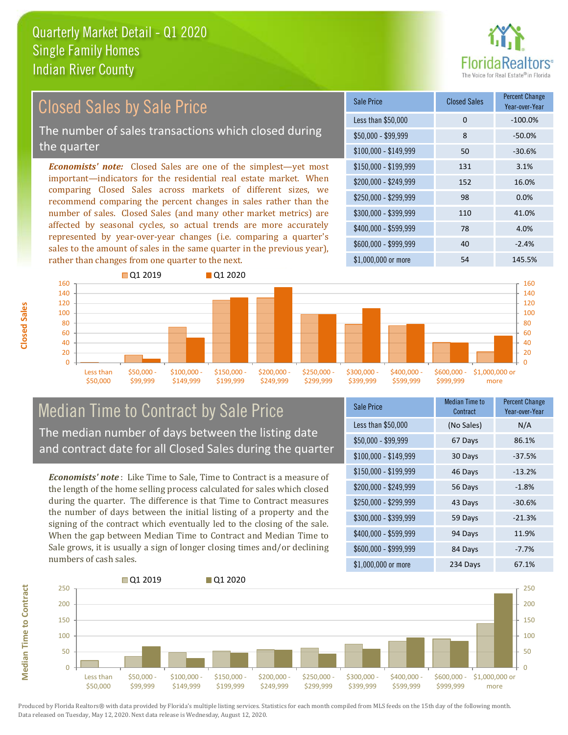

#### \$100,000 - \$149,999 50 -30.6% Sale Price Closed Sales Percent Change Year-over-Year Less than \$50,000 0 0 -100.0% \$50,000 - \$99,999 8 -50.0% \$150,000 - \$199,999 131 3.1% \$200,000 - \$249,999 152 16.0% \$400,000 - \$599,999 78 4.0% \$600,000 - \$999,999 40 -2.4% *Economists' note:* Closed Sales are one of the simplest—yet most important—indicators for the residential real estate market. When comparing Closed Sales across markets of different sizes, we recommend comparing the percent changes in sales rather than the number of sales. Closed Sales (and many other market metrics) are affected by seasonal cycles, so actual trends are more accurately represented by year-over-year changes (i.e. comparing a quarter's sales to the amount of sales in the same quarter in the previous year), rather than changes from one quarter to the next. \$1,000,000 or more 54 54 145.5%  $$250.000 - $299.999$  98 0.0% \$300,000 - \$399,999 110 41.0% Closed Sales by Sale Price The number of sales transactions which closed during the quarter



## Median Time to Contract by Sale Price The median number of days between the listing date and contract date for all Closed Sales during the quarter

*Economists' note* : Like Time to Sale, Time to Contract is a measure of the length of the home selling process calculated for sales which closed during the quarter. The difference is that Time to Contract measures the number of days between the initial listing of a property and the signing of the contract which eventually led to the closing of the sale. When the gap between Median Time to Contract and Median Time to Sale grows, it is usually a sign of longer closing times and/or declining numbers of cash sales.

| Sale Price            | <b>Median Time to</b><br>Contract | <b>Percent Change</b><br>Year-over-Year |
|-----------------------|-----------------------------------|-----------------------------------------|
| Less than \$50,000    | (No Sales)                        | N/A                                     |
| $$50,000 - $99,999$   | 67 Days                           | 86.1%                                   |
| $$100,000 - $149,999$ | 30 Days                           | $-37.5%$                                |
| $$150,000 - $199,999$ | 46 Days                           | $-13.2%$                                |
| \$200,000 - \$249,999 | 56 Days                           | $-1.8%$                                 |
| \$250,000 - \$299,999 | 43 Days                           | $-30.6%$                                |
| \$300,000 - \$399,999 | 59 Days                           | $-21.3%$                                |
| \$400,000 - \$599,999 | 94 Days                           | 11.9%                                   |
| \$600,000 - \$999,999 | 84 Days                           | $-7.7%$                                 |
| \$1,000,000 or more   | 234 Days                          | 67.1%                                   |



Produced by Florida Realtors® with data provided by Florida's multiple listing services. Statistics for each month compiled from MLS feeds on the 15th day of the following month. Data released on Tuesday, May 12, 2020. Next data release is Wednesday, August 12, 2020.

**Median Time to Contract**

**Median Time to Contract**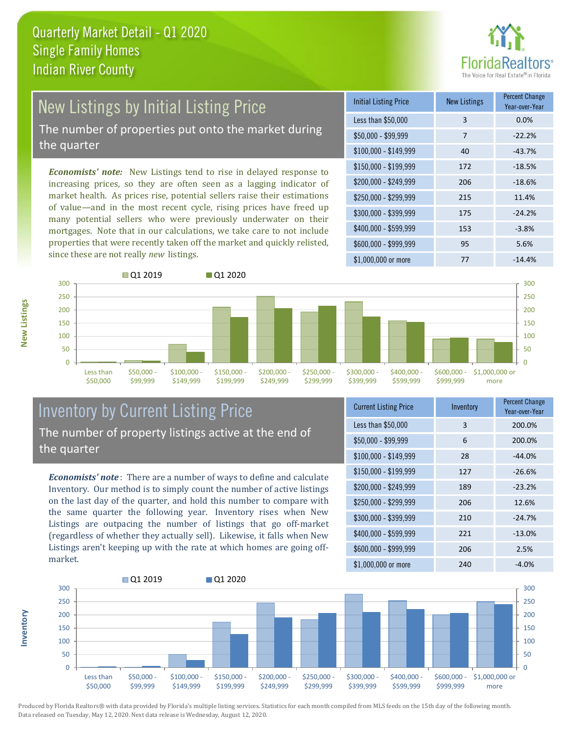

# New Listings by Initial Listing Price

The number of properties put onto the market during the quarter

*Economists' note:* New Listings tend to rise in delayed response to increasing prices, so they are often seen as a lagging indicator of market health. As prices rise, potential sellers raise their estimations of value—and in the most recent cycle, rising prices have freed up many potential sellers who were previously underwater on their mortgages. Note that in our calculations, we take care to not include properties that were recently taken off the market and quickly relisted, since these are not really *new* listings.





## Inventory by Current Listing Price The number of property listings active at the end of the quarter

*Economists' note* : There are a number of ways to define and calculate Inventory. Our method is to simply count the number of active listings on the last day of the quarter, and hold this number to compare with the same quarter the following year. Inventory rises when New Listings are outpacing the number of listings that go off-market (regardless of whether they actually sell). Likewise, it falls when New Listings aren't keeping up with the rate at which homes are going offmarket.

| <b>Current Listing Price</b> | Inventory | <b>Percent Change</b><br>Year-over-Year |
|------------------------------|-----------|-----------------------------------------|
| Less than \$50,000           | 3         | 200.0%                                  |
| $$50,000 - $99,999$          | 6         | 200.0%                                  |
| $$100,000 - $149,999$        | 28        | $-44.0%$                                |
| $$150,000 - $199,999$        | 127       | $-26.6%$                                |
| \$200,000 - \$249,999        | 189       | $-23.2%$                                |
| \$250,000 - \$299,999        | 206       | 12.6%                                   |
| \$300,000 - \$399,999        | 210       | $-24.7%$                                |
| \$400,000 - \$599,999        | 221       | $-13.0%$                                |
| \$600,000 - \$999,999        | 206       | 2.5%                                    |
| \$1,000,000 or more          | 240       | -4.0%                                   |



Produced by Florida Realtors® with data provided by Florida's multiple listing services. Statistics for each month compiled from MLS feeds on the 15th day of the following month. Data released on Tuesday, May 12, 2020. Next data release is Wednesday, August 12, 2020.

**Inventory**